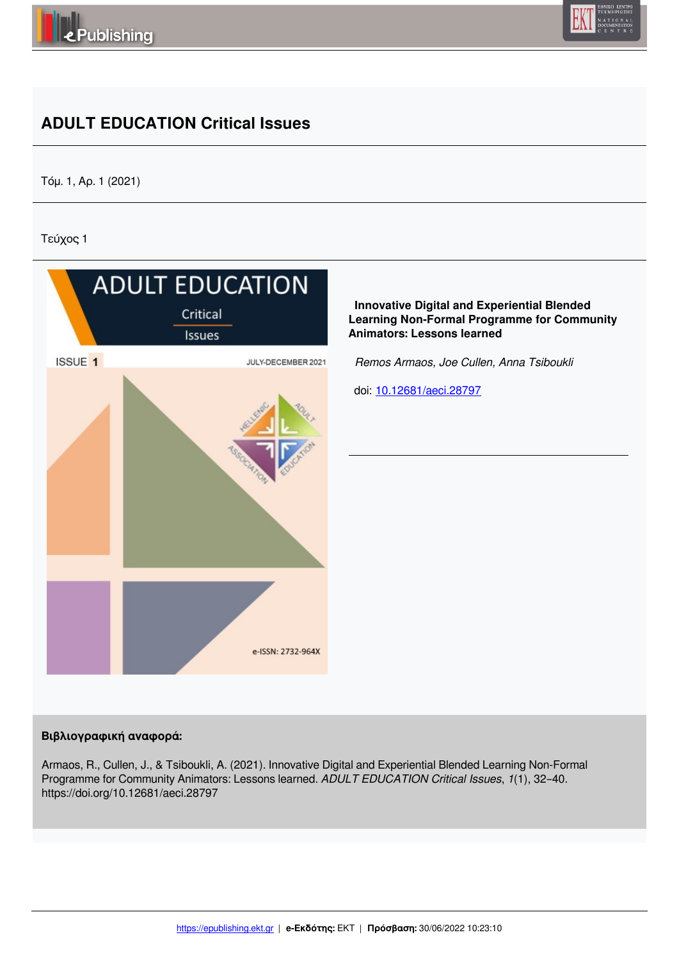



# **ADULT EDUCATION Critical Issues**

Τόμ. 1, Αρ. 1 (2021)

Τεύχος 1



#### **Βιβλιογραφική αναφορά:**

Armaos, R., Cullen, J., & Tsiboukli, A. (2021). Innovative Digital and Experiential Blended Learning Non-Formal Programme for Community Animators: Lessons learned. *ADULT EDUCATION Critical Issues*, *1*(1), 32–40. https://doi.org/10.12681/aeci.28797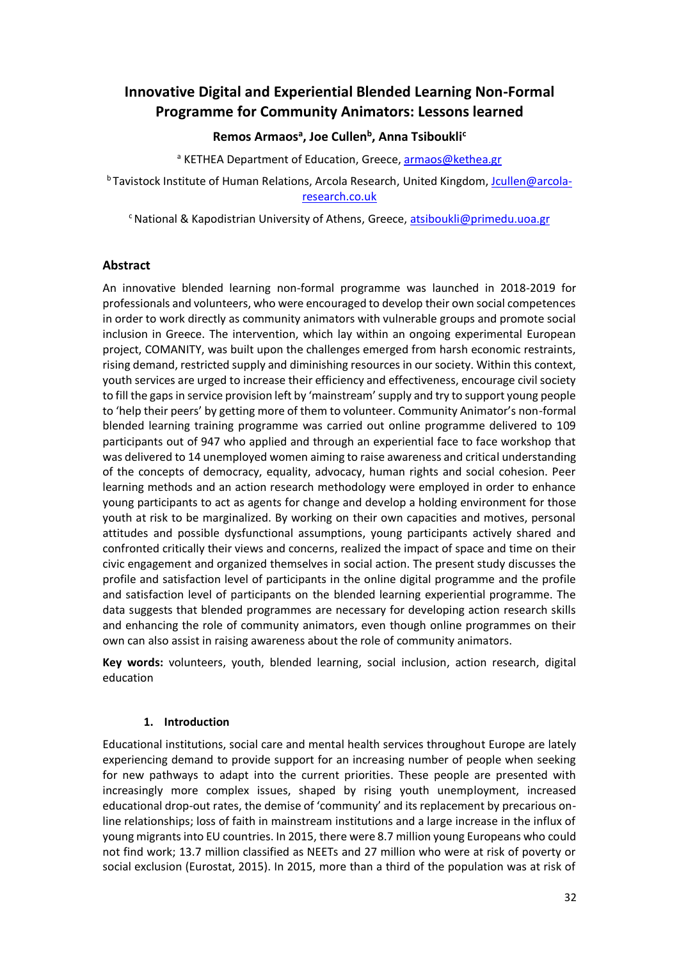## **Innovative Digital and Experiential Blended Learning Non-Formal Programme for Community Animators: Lessons learned**

## **Remos Armaos<sup>a</sup> , Joe Cullen<sup>b</sup> , Anna Tsiboukli<sup>c</sup>**

<sup>a</sup> KETHEA Department of Education, Greece, armaos@kethea.gr

<sup>b</sup> Tavistock Institute of Human Relations, Arcola Research, United Kingdom, Jcullen@arcolaresearch.co.uk

 $c$ National & Kapodistrian University of Athens, Greece, atsiboukli@primedu.uoa.gr

#### **Abstract**

An innovative blended learning non-formal programme was launched in 2018-2019 for professionals and volunteers, who were encouraged to develop their own social competences in order to work directly as community animators with vulnerable groups and promote social inclusion in Greece. The intervention, which lay within an ongoing experimental European project, COMANITY, was built upon the challenges emerged from harsh economic restraints, rising demand, restricted supply and diminishing resources in our society. Within this context, youth services are urged to increase their efficiency and effectiveness, encourage civil society to fill the gaps in service provision left by 'mainstream' supply and try to support young people to 'help their peers' by getting more of them to volunteer. Community Animator's non-formal blended learning training programme was carried out online programme delivered to 109 participants out of 947 who applied and through an experiential face to face workshop that was delivered to 14 unemployed women aiming to raise awareness and critical understanding of the concepts of democracy, equality, advocacy, human rights and social cohesion. Peer learning methods and an action research methodology were employed in order to enhance young participants to act as agents for change and develop a holding environment for those youth at risk to be marginalized. By working on their own capacities and motives, personal attitudes and possible dysfunctional assumptions, young participants actively shared and confronted critically their views and concerns, realized the impact of space and time on their civic engagement and organized themselves in social action. The present study discusses the profile and satisfaction level of participants in the online digital programme and the profile and satisfaction level of participants on the blended learning experiential programme. The data suggests that blended programmes are necessary for developing action research skills and enhancing the role of community animators, even though online programmes on their own can also assist in raising awareness about the role of community animators.

**Key words:** volunteers, youth, blended learning, social inclusion, action research, digital education

#### **1. Introduction**

Educational institutions, social care and mental health services throughout Europe are lately experiencing demand to provide support for an increasing number of people when seeking for new pathways to adapt into the current priorities. These people are presented with increasingly more complex issues, shaped by rising youth unemployment, increased educational drop-out rates, the demise of 'community' and its replacement by precarious online relationships; loss of faith in mainstream institutions and a large increase in the influx of young migrants into EU countries. In 2015, there were 8.7 million young Europeans who could not find work; 13.7 million classified as NEETs and 27 million who were at risk of poverty or social exclusion (Eurostat, 2015). In 2015, more than a third of the population was at risk of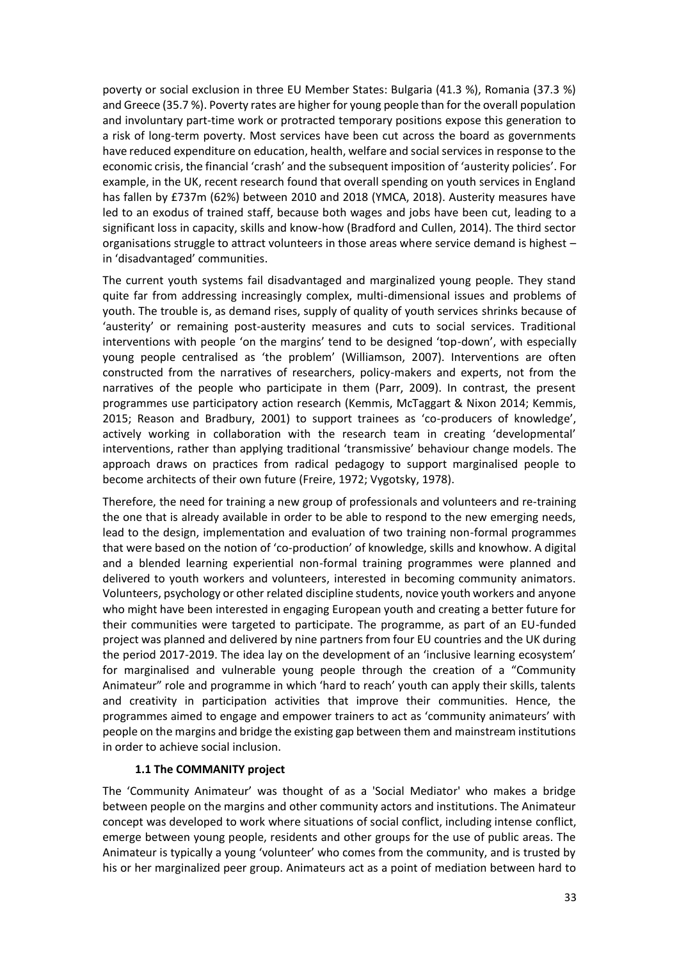poverty or social exclusion in three EU Member States: Bulgaria (41.3 %), Romania (37.3 %) and Greece (35.7 %). Poverty rates are higher for young people than for the overall population and involuntary part-time work or protracted temporary positions expose this generation to a risk of long-term poverty. Most services have been cut across the board as governments have reduced expenditure on education, health, welfare and social services in response to the economic crisis, the financial 'crash' and the subsequent imposition of 'austerity policies'. For example, in the UK, recent research found that overall spending on youth services in England has fallen by £737m (62%) between 2010 and 2018 (YMCA, 2018). Austerity measures have led to an exodus of trained staff, because both wages and jobs have been cut, leading to a significant loss in capacity, skills and know-how (Bradford and Cullen, 2014). The third sector organisations struggle to attract volunteers in those areas where service demand is highest – in 'disadvantaged' communities.

The current youth systems fail disadvantaged and marginalized young people. They stand quite far from addressing increasingly complex, multi-dimensional issues and problems of youth. The trouble is, as demand rises, supply of quality of youth services shrinks because of 'austerity' or remaining post-austerity measures and cuts to social services. Traditional interventions with people 'on the margins' tend to be designed 'top-down', with especially young people centralised as 'the problem' (Williamson, 2007). Interventions are often constructed from the narratives of researchers, policy-makers and experts, not from the narratives of the people who participate in them (Parr, 2009). In contrast, the present programmes use participatory action research (Kemmis, McTaggart & Nixon 2014; Kemmis, 2015; Reason and Bradbury, 2001) to support trainees as 'co-producers of knowledge', actively working in collaboration with the research team in creating 'developmental' interventions, rather than applying traditional 'transmissive' behaviour change models. The approach draws on practices from radical pedagogy to support marginalised people to become architects of their own future (Freire, 1972; Vygotsky, 1978).

Therefore, the need for training a new group of professionals and volunteers and re-training the one that is already available in order to be able to respond to the new emerging needs, lead to the design, implementation and evaluation of two training non-formal programmes that were based on the notion of 'co-production' of knowledge, skills and knowhow. A digital and a blended learning experiential non-formal training programmes were planned and delivered to youth workers and volunteers, interested in becoming community animators. Volunteers, psychology or other related discipline students, novice youth workers and anyone who might have been interested in engaging European youth and creating a better future for their communities were targeted to participate. The programme, as part of an EU-funded project was planned and delivered by nine partners from four EU countries and the UK during the period 2017-2019. The idea lay on the development of an 'inclusive learning ecosystem' for marginalised and vulnerable young people through the creation of a "Community Animateur" role and programme in which 'hard to reach' youth can apply their skills, talents and creativity in participation activities that improve their communities. Hence, the programmes aimed to engage and empower trainers to act as 'community animateurs' with people on the margins and bridge the existing gap between them and mainstream institutions in order to achieve social inclusion.

#### **1.1 The COMMANITY project**

The 'Community Animateur' was thought of as a 'Social Mediator' who makes a bridge between people on the margins and other community actors and institutions. The Animateur concept was developed to work where situations of social conflict, including intense conflict, emerge between young people, residents and other groups for the use of public areas. The Animateur is typically a young 'volunteer' who comes from the community, and is trusted by his or her marginalized peer group. Animateurs act as a point of mediation between hard to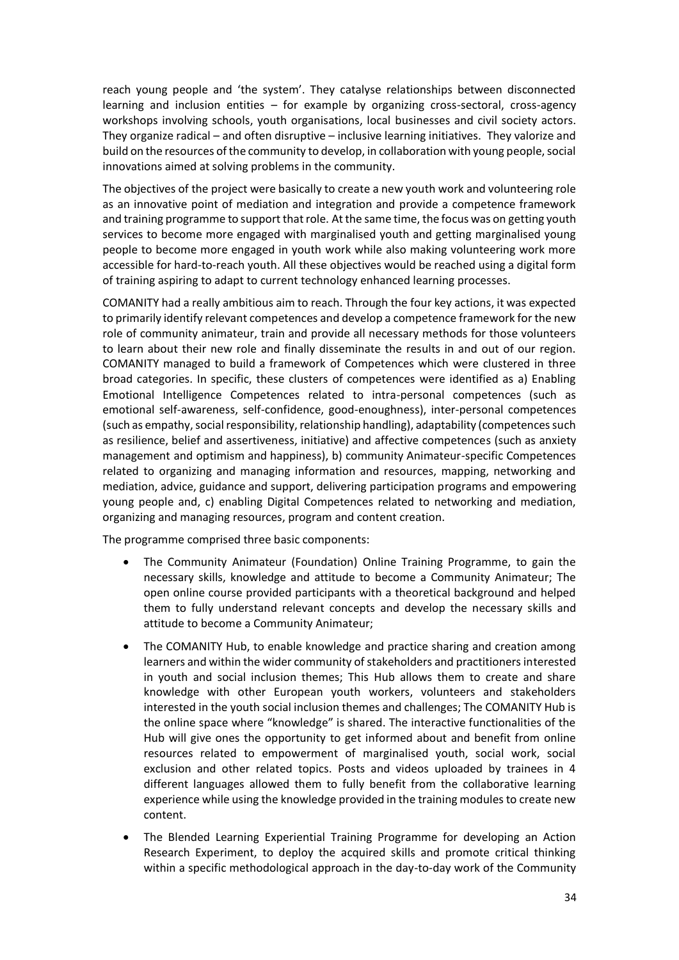reach young people and 'the system'. They catalyse relationships between disconnected learning and inclusion entities – for example by organizing cross-sectoral, cross-agency workshops involving schools, youth organisations, local businesses and civil society actors. They organize radical – and often disruptive – inclusive learning initiatives. They valorize and build on the resources of the community to develop, in collaboration with young people, social innovations aimed at solving problems in the community.

The objectives of the project were basically to create a new youth work and volunteering role as an innovative point of mediation and integration and provide a competence framework and training programme to support that role. At the same time, the focus was on getting youth services to become more engaged with marginalised youth and getting marginalised young people to become more engaged in youth work while also making volunteering work more accessible for hard-to-reach youth. All these objectives would be reached using a digital form of training aspiring to adapt to current technology enhanced learning processes.

COMANITY had a really ambitious aim to reach. Through the four key actions, it was expected to primarily identify relevant competences and develop a competence framework for the new role of community animateur, train and provide all necessary methods for those volunteers to learn about their new role and finally disseminate the results in and out of our region. COMANITY managed to build a framework of Competences which were clustered in three broad categories. In specific, these clusters of competences were identified as a) Enabling Emotional Intelligence Competences related to intra-personal competences (such as emotional self-awareness, self-confidence, good-enoughness), inter-personal competences (such as empathy, social responsibility, relationship handling), adaptability (competences such as resilience, belief and assertiveness, initiative) and affective competences (such as anxiety management and optimism and happiness), b) community Animateur-specific Competences related to organizing and managing information and resources, mapping, networking and mediation, advice, guidance and support, delivering participation programs and empowering young people and, c) enabling Digital Competences related to networking and mediation, organizing and managing resources, program and content creation.

The programme comprised three basic components:

- The Community Animateur (Foundation) Online Training Programme, to gain the necessary skills, knowledge and attitude to become a Community Animateur; The open online course provided participants with a theoretical background and helped them to fully understand relevant concepts and develop the necessary skills and attitude to become a Community Animateur;
- The COMANITY Hub, to enable knowledge and practice sharing and creation among learners and within the wider community of stakeholders and practitioners interested in youth and social inclusion themes; This Hub allows them to create and share knowledge with other European youth workers, volunteers and stakeholders interested in the youth social inclusion themes and challenges; The COMANITY Hub is the online space where "knowledge" is shared. The interactive functionalities of the Hub will give ones the opportunity to get informed about and benefit from online resources related to empowerment of marginalised youth, social work, social exclusion and other related topics. Posts and videos uploaded by trainees in 4 different languages allowed them to fully benefit from the collaborative learning experience while using the knowledge provided in the training modules to create new content.
- The Blended Learning Experiential Training Programme for developing an Action Research Experiment, to deploy the acquired skills and promote critical thinking within a specific methodological approach in the day-to-day work of the Community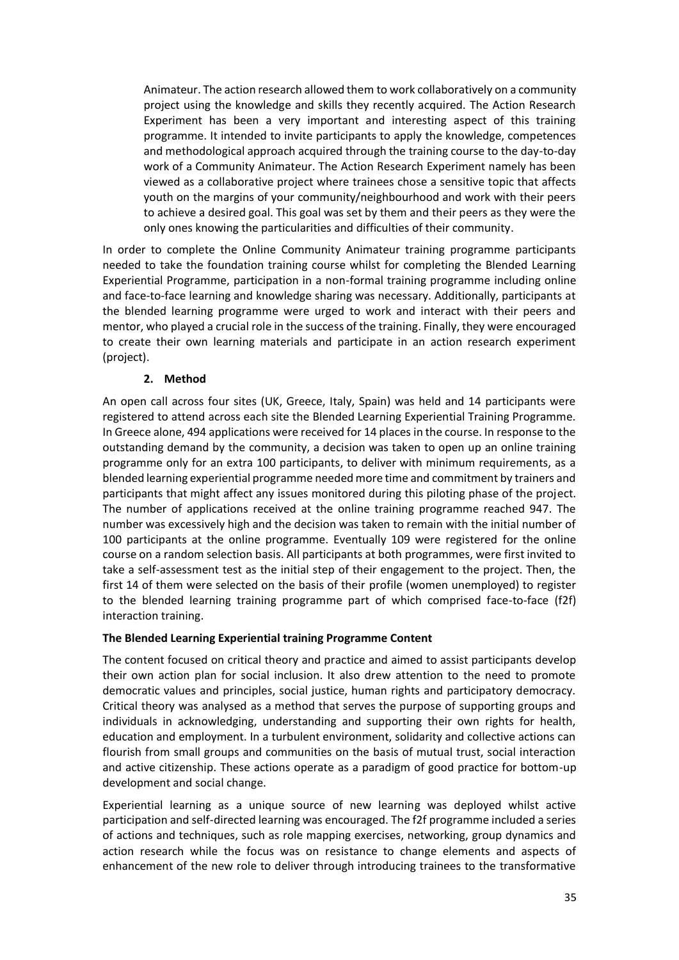Animateur. The action research allowed them to work collaboratively on a community project using the knowledge and skills they recently acquired. The Action Research Experiment has been a very important and interesting aspect of this training programme. It intended to invite participants to apply the knowledge, competences and methodological approach acquired through the training course to the day-to-day work of a Community Animateur. The Action Research Experiment namely has been viewed as a collaborative project where trainees chose a sensitive topic that affects youth on the margins of your community/neighbourhood and work with their peers to achieve a desired goal. This goal was set by them and their peers as they were the only ones knowing the particularities and difficulties of their community.

In order to complete the Online Community Animateur training programme participants needed to take the foundation training course whilst for completing the Blended Learning Experiential Programme, participation in a non-formal training programme including online and face-to-face learning and knowledge sharing was necessary. Additionally, participants at the blended learning programme were urged to work and interact with their peers and mentor, who played a crucial role in the success of the training. Finally, they were encouraged to create their own learning materials and participate in an action research experiment (project).

#### **2. Method**

An open call across four sites (UK, Greece, Italy, Spain) was held and 14 participants were registered to attend across each site the Blended Learning Experiential Training Programme. In Greece alone, 494 applications were received for 14 places in the course. In response to the outstanding demand by the community, a decision was taken to open up an online training programme only for an extra 100 participants, to deliver with minimum requirements, as a blended learning experiential programme needed more time and commitment by trainers and participants that might affect any issues monitored during this piloting phase of the project. The number of applications received at the online training programme reached 947. The number was excessively high and the decision was taken to remain with the initial number of 100 participants at the online programme. Eventually 109 were registered for the online course on a random selection basis. All participants at both programmes, were first invited to take a self-assessment test as the initial step of their engagement to the project. Then, the first 14 of them were selected on the basis of their profile (women unemployed) to register to the blended learning training programme part of which comprised face-to-face (f2f) interaction training.

#### **The Blended Learning Experiential training Programme Content**

The content focused on critical theory and practice and aimed to assist participants develop their own action plan for social inclusion. It also drew attention to the need to promote democratic values and principles, social justice, human rights and participatory democracy. Critical theory was analysed as a method that serves the purpose of supporting groups and individuals in acknowledging, understanding and supporting their own rights for health, education and employment. In a turbulent environment, solidarity and collective actions can flourish from small groups and communities on the basis of mutual trust, social interaction and active citizenship. These actions operate as a paradigm of good practice for bottom-up development and social change.

Experiential learning as a unique source of new learning was deployed whilst active participation and self-directed learning was encouraged. The f2f programme included a series of actions and techniques, such as role mapping exercises, networking, group dynamics and action research while the focus was on resistance to change elements and aspects of enhancement of the new role to deliver through introducing trainees to the transformative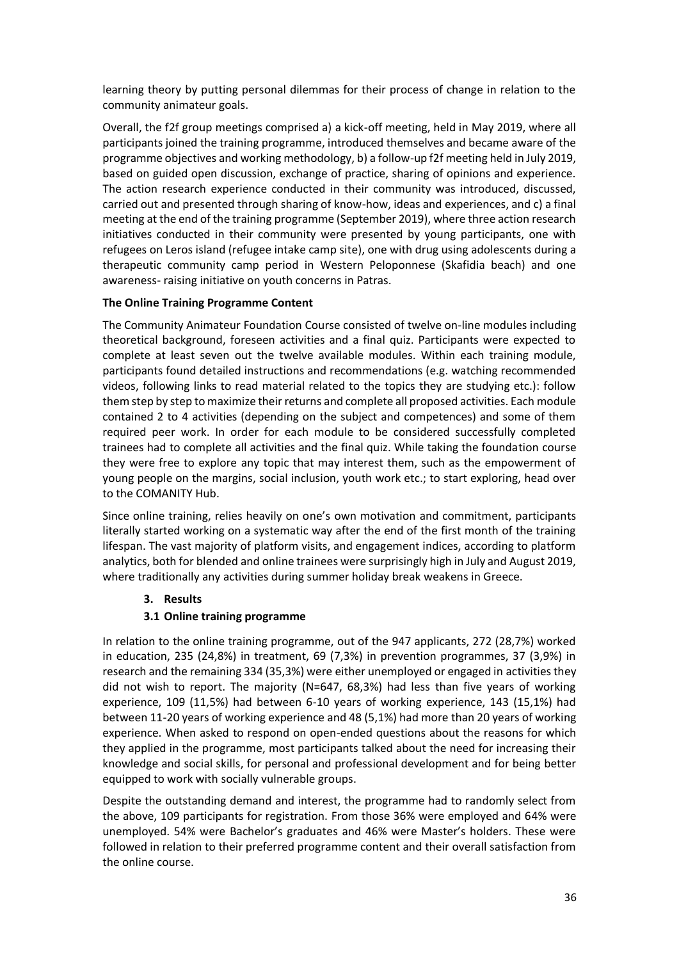learning theory by putting personal dilemmas for their process of change in relation to the community animateur goals.

Overall, the f2f group meetings comprised a) a kick-off meeting, held in May 2019, where all participants joined the training programme, introduced themselves and became aware of the programme objectives and working methodology, b) a follow-up f2f meeting held in July 2019, based on guided open discussion, exchange of practice, sharing of opinions and experience. The action research experience conducted in their community was introduced, discussed, carried out and presented through sharing of know-how, ideas and experiences, and c) a final meeting at the end of the training programme (September 2019), where three action research initiatives conducted in their community were presented by young participants, one with refugees on Leros island (refugee intake camp site), one with drug using adolescents during a therapeutic community camp period in Western Peloponnese (Skafidia beach) and one awareness- raising initiative on youth concerns in Patras.

#### **The Online Training Programme Content**

The Community Animateur Foundation Course consisted of twelve on-line modules including theoretical background, foreseen activities and a final quiz. Participants were expected to complete at least seven out the twelve available modules. Within each training module, participants found detailed instructions and recommendations (e.g. watching recommended videos, following links to read material related to the topics they are studying etc.): follow them step by step to maximize their returns and complete all proposed activities. Each module contained 2 to 4 activities (depending on the subject and competences) and some of them required peer work. In order for each module to be considered successfully completed trainees had to complete all activities and the final quiz. While taking the foundation course they were free to explore any topic that may interest them, such as the empowerment of young people on the margins, social inclusion, youth work etc.; to start exploring, head over to the COMANITY Hub.

Since online training, relies heavily on one's own motivation and commitment, participants literally started working on a systematic way after the end of the first month of the training lifespan. The vast majority of platform visits, and engagement indices, according to platform analytics, both for blended and online trainees were surprisingly high in July and August 2019, where traditionally any activities during summer holiday break weakens in Greece.

## **3. Results**

## **3.1 Online training programme**

In relation to the online training programme, out of the 947 applicants, 272 (28,7%) worked in education, 235 (24,8%) in treatment, 69 (7,3%) in prevention programmes, 37 (3,9%) in research and the remaining 334 (35,3%) were either unemployed or engaged in activities they did not wish to report. The majority (N=647, 68,3%) had less than five years of working experience, 109 (11,5%) had between 6-10 years of working experience, 143 (15,1%) had between 11-20 years of working experience and 48 (5,1%) had more than 20 years of working experience. When asked to respond on open-ended questions about the reasons for which they applied in the programme, most participants talked about the need for increasing their knowledge and social skills, for personal and professional development and for being better equipped to work with socially vulnerable groups.

Despite the outstanding demand and interest, the programme had to randomly select from the above, 109 participants for registration. From those 36% were employed and 64% were unemployed. 54% were Bachelor's graduates and 46% were Master's holders. These were followed in relation to their preferred programme content and their overall satisfaction from the online course.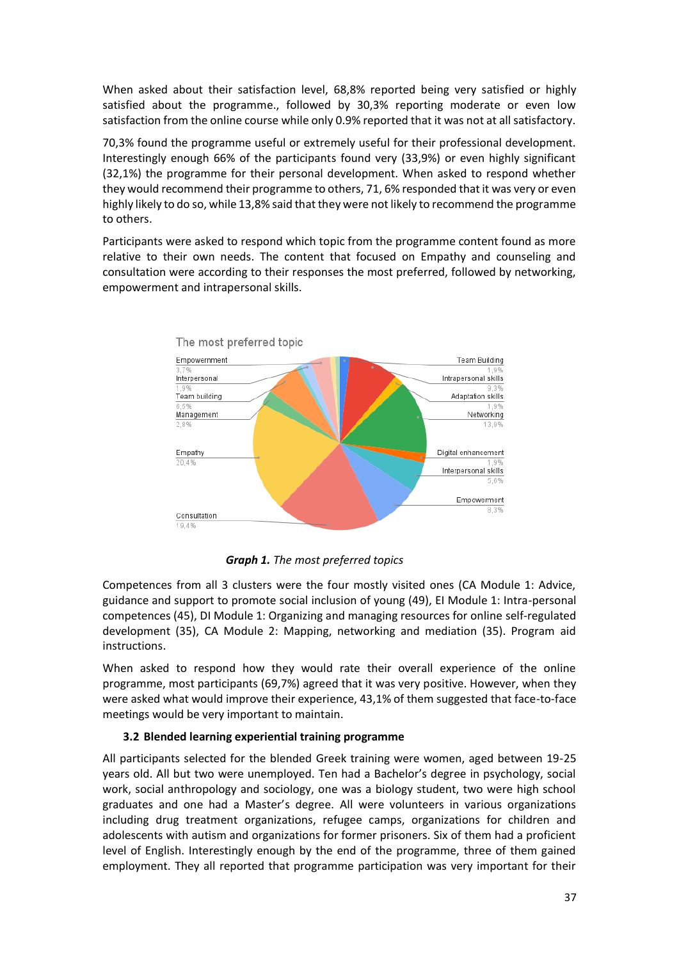When asked about their satisfaction level, 68,8% reported being very satisfied or highly satisfied about the programme., followed by 30,3% reporting moderate or even low satisfaction from the online course while only 0.9% reported that it was not at all satisfactory.

70,3% found the programme useful or extremely useful for their professional development. Interestingly enough 66% of the participants found very (33,9%) or even highly significant (32,1%) the programme for their personal development. When asked to respond whether they would recommend their programme to others, 71, 6% responded that it was very or even highly likely to do so, while 13,8% said that they were not likely to recommend the programme to others.

Participants were asked to respond which topic from the programme content found as more relative to their own needs. The content that focused on Empathy and counseling and consultation were according to their responses the most preferred, followed by networking, empowerment and intrapersonal skills.



*Graph 1. The most preferred topics*

Competences from all 3 clusters were the four mostly visited ones (CA Module 1: Advice, guidance and support to promote social inclusion of young (49), EI Module 1: Intra-personal competences (45), DI Module 1: Organizing and managing resources for online self-regulated development (35), CA Module 2: Mapping, networking and mediation (35). Program aid instructions.

When asked to respond how they would rate their overall experience of the online programme, most participants (69,7%) agreed that it was very positive. However, when they were asked what would improve their experience, 43,1% of them suggested that face-to-face meetings would be very important to maintain.

#### **3.2 Blended learning experiential training programme**

All participants selected for the blended Greek training were women, aged between 19-25 years old. All but two were unemployed. Ten had a Bachelor's degree in psychology, social work, social anthropology and sociology, one was a biology student, two were high school graduates and one had a Master's degree. All were volunteers in various organizations including drug treatment organizations, refugee camps, organizations for children and adolescents with autism and organizations for former prisoners. Six of them had a proficient level of English. Interestingly enough by the end of the programme, three of them gained employment. They all reported that programme participation was very important for their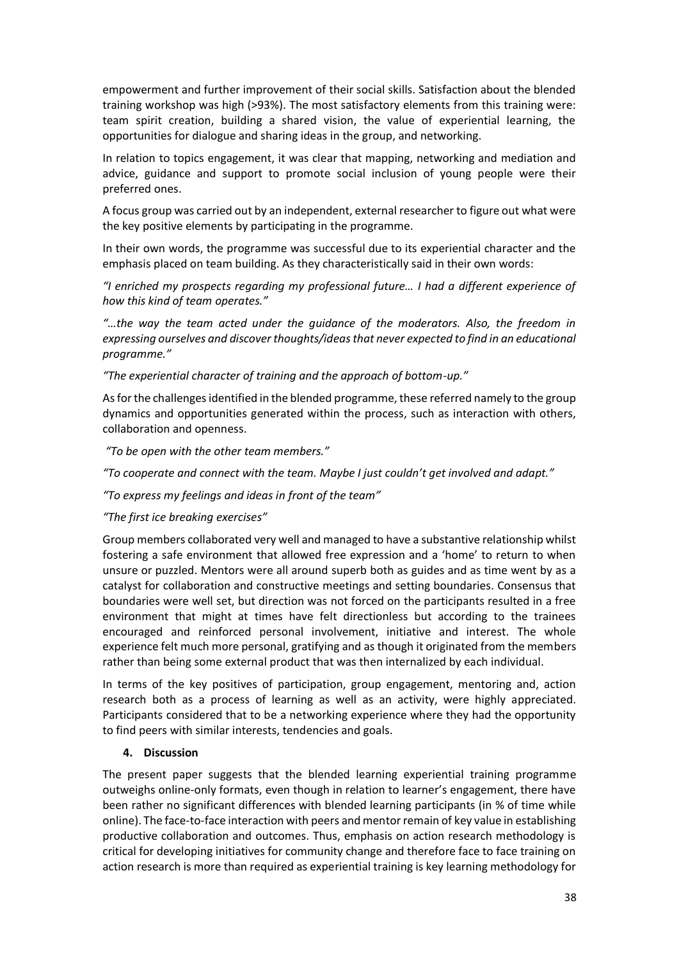empowerment and further improvement of their social skills. Satisfaction about the blended training workshop was high (>93%). The most satisfactory elements from this training were: team spirit creation, building a shared vision, the value of experiential learning, the opportunities for dialogue and sharing ideas in the group, and networking.

In relation to topics engagement, it was clear that mapping, networking and mediation and advice, guidance and support to promote social inclusion of young people were their preferred ones.

A focus group was carried out by an independent, external researcher to figure out what were the key positive elements by participating in the programme.

In their own words, the programme was successful due to its experiential character and the emphasis placed on team building. As they characteristically said in their own words:

*"I enriched my prospects regarding my professional future… I had a different experience of how this kind of team operates."* 

*"…the way the team acted under the guidance of the moderators. Also, the freedom in expressing ourselves and discover thoughts/ideas that never expected to find in an educational programme."* 

*"The experiential character of training and the approach of bottom-up."* 

As for the challenges identified in the blended programme, these referred namely to the group dynamics and opportunities generated within the process, such as interaction with others, collaboration and openness.

*"To be open with the other team members."*

*"To cooperate and connect with the team. Maybe I just couldn't get involved and adapt."*

*"To express my feelings and ideas in front of the team"*

*"The first ice breaking exercises"*

Group members collaborated very well and managed to have a substantive relationship whilst fostering a safe environment that allowed free expression and a 'home' to return to when unsure or puzzled. Mentors were all around superb both as guides and as time went by as a catalyst for collaboration and constructive meetings and setting boundaries. Consensus that boundaries were well set, but direction was not forced on the participants resulted in a free environment that might at times have felt directionless but according to the trainees encouraged and reinforced personal involvement, initiative and interest. The whole experience felt much more personal, gratifying and as though it originated from the members rather than being some external product that was then internalized by each individual.

In terms of the key positives of participation, group engagement, mentoring and, action research both as a process of learning as well as an activity, were highly appreciated. Participants considered that to be a networking experience where they had the opportunity to find peers with similar interests, tendencies and goals.

#### **4. Discussion**

The present paper suggests that the blended learning experiential training programme outweighs online-only formats, even though in relation to learner's engagement, there have been rather no significant differences with blended learning participants (in % of time while online). The face-to-face interaction with peers and mentor remain of key value in establishing productive collaboration and outcomes. Thus, emphasis on action research methodology is critical for developing initiatives for community change and therefore face to face training on action research is more than required as experiential training is key learning methodology for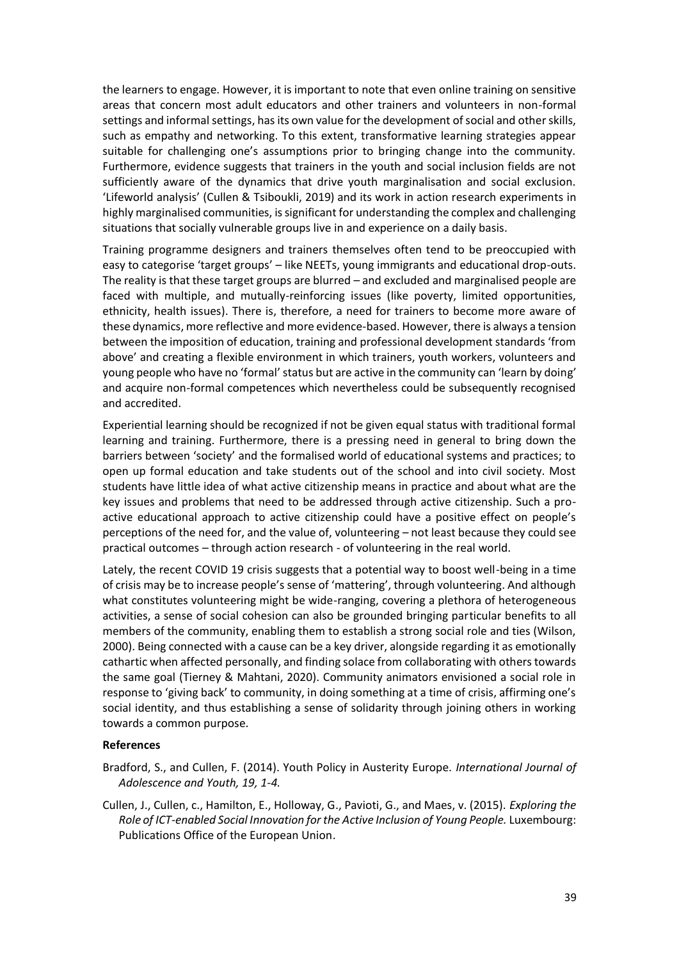the learners to engage. However, it is important to note that even online training on sensitive areas that concern most adult educators and other trainers and volunteers in non-formal settings and informal settings, has its own value for the development of social and other skills, such as empathy and networking. To this extent, transformative learning strategies appear suitable for challenging one's assumptions prior to bringing change into the community. Furthermore, evidence suggests that trainers in the youth and social inclusion fields are not sufficiently aware of the dynamics that drive youth marginalisation and social exclusion. 'Lifeworld analysis' (Cullen & Tsiboukli, 2019) and its work in action research experiments in highly marginalised communities, is significant for understanding the complex and challenging situations that socially vulnerable groups live in and experience on a daily basis.

Training programme designers and trainers themselves often tend to be preoccupied with easy to categorise 'target groups' – like NEETs, young immigrants and educational drop-outs. The reality is that these target groups are blurred – and excluded and marginalised people are faced with multiple, and mutually-reinforcing issues (like poverty, limited opportunities, ethnicity, health issues). There is, therefore, a need for trainers to become more aware of these dynamics, more reflective and more evidence-based. However, there is always a tension between the imposition of education, training and professional development standards 'from above' and creating a flexible environment in which trainers, youth workers, volunteers and young people who have no 'formal' status but are active in the community can 'learn by doing' and acquire non-formal competences which nevertheless could be subsequently recognised and accredited.

Εxperiential learning should be recognized if not be given equal status with traditional formal learning and training. Furthermore, there is a pressing need in general to bring down the barriers between 'society' and the formalised world of educational systems and practices; to open up formal education and take students out of the school and into civil society. Most students have little idea of what active citizenship means in practice and about what are the key issues and problems that need to be addressed through active citizenship. Such a proactive educational approach to active citizenship could have a positive effect on people's perceptions of the need for, and the value of, volunteering – not least because they could see practical outcomes – through action research - of volunteering in the real world.

Lately, the recent COVID 19 crisis suggests that a potential way to boost well-being in a time of crisis may be to increase people's sense of 'mattering', through volunteering. And although what constitutes volunteering might be wide-ranging, covering a plethora of heterogeneous activities, a sense of social cohesion can also be grounded bringing particular benefits to all members of the community, enabling them to establish a strong social role and ties (Wilson, 2000). Being connected with a cause can be a key driver, alongside regarding it as emotionally cathartic when affected personally, and finding solace from collaborating with others towards the same goal (Tierney & Mahtani, 2020). Community animators envisioned a social role in response to 'giving back' to community, in doing something at a time of crisis, affirming one's social identity, and thus establishing a sense of solidarity through joining others in working towards a common purpose.

#### **References**

- Bradford, S., and Cullen, F. (2014). Youth Policy in Austerity Europe. *International Journal of Adolescence and Youth, 19, 1-4.*
- Cullen, J., Cullen, c., Hamilton, E., Holloway, G., Pavioti, G., and Maes, v. (2015). *Exploring the Role of ICT-enabled Social Innovation for the Active Inclusion of Young People.* Luxembourg: Publications Office of the European Union.